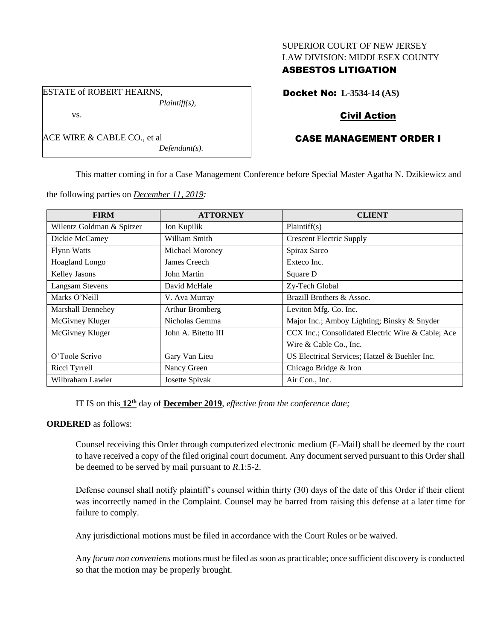# SUPERIOR COURT OF NEW JERSEY LAW DIVISION: MIDDLESEX COUNTY

# ASBESTOS LITIGATION

Docket No: **L-3534-14 (AS)**

# Civil Action

# CASE MANAGEMENT ORDER I

This matter coming in for a Case Management Conference before Special Master Agatha N. Dzikiewicz and

the following parties on *December 11, 2019:*

*Plaintiff(s),*

*Defendant(s).*

ESTATE of ROBERT HEARNS,

ACE WIRE & CABLE CO., et al

vs.

| <b>FIRM</b>               | <b>ATTORNEY</b>     | <b>CLIENT</b>                                     |
|---------------------------|---------------------|---------------------------------------------------|
| Wilentz Goldman & Spitzer | Jon Kupilik         | Plaintiff(s)                                      |
| Dickie McCamey            | William Smith       | <b>Crescent Electric Supply</b>                   |
| <b>Flynn Watts</b>        | Michael Moroney     | Spirax Sarco                                      |
| Hoagland Longo            | James Creech        | Exteco Inc.                                       |
| Kelley Jasons             | John Martin         | Square D                                          |
| <b>Langsam Stevens</b>    | David McHale        | Zy-Tech Global                                    |
| Marks O'Neill             | V. Ava Murray       | Brazill Brothers & Assoc.                         |
| Marshall Dennehey         | Arthur Bromberg     | Leviton Mfg. Co. Inc.                             |
| McGivney Kluger           | Nicholas Gemma      | Major Inc.; Amboy Lighting; Binsky & Snyder       |
| McGivney Kluger           | John A. Bitetto III | CCX Inc.; Consolidated Electric Wire & Cable; Ace |
|                           |                     | Wire & Cable Co., Inc.                            |
| O'Toole Scrivo            | Gary Van Lieu       | US Electrical Services; Hatzel & Buehler Inc.     |
| Ricci Tyrrell             | Nancy Green         | Chicago Bridge & Iron                             |
| Wilbraham Lawler          | Josette Spivak      | Air Con., Inc.                                    |

IT IS on this **12th** day of **December 2019**, *effective from the conference date;*

## **ORDERED** as follows:

Counsel receiving this Order through computerized electronic medium (E-Mail) shall be deemed by the court to have received a copy of the filed original court document. Any document served pursuant to this Order shall be deemed to be served by mail pursuant to *R*.1:5-2.

Defense counsel shall notify plaintiff's counsel within thirty (30) days of the date of this Order if their client was incorrectly named in the Complaint. Counsel may be barred from raising this defense at a later time for failure to comply.

Any jurisdictional motions must be filed in accordance with the Court Rules or be waived.

Any *forum non conveniens* motions must be filed as soon as practicable; once sufficient discovery is conducted so that the motion may be properly brought.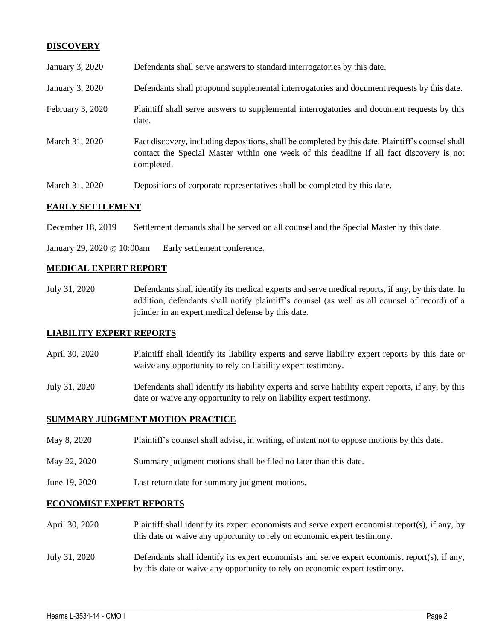# **DISCOVERY**

| E A DI V CETTI EMIENTE |                                                                                                                                                                                                             |  |
|------------------------|-------------------------------------------------------------------------------------------------------------------------------------------------------------------------------------------------------------|--|
| March 31, 2020         | Depositions of corporate representatives shall be completed by this date.                                                                                                                                   |  |
| March 31, 2020         | Fact discovery, including depositions, shall be completed by this date. Plaintiff's counsel shall<br>contact the Special Master within one week of this deadline if all fact discovery is not<br>completed. |  |
| February 3, 2020       | Plaintiff shall serve answers to supplemental interrogatories and document requests by this<br>date.                                                                                                        |  |
| January 3, 2020        | Defendants shall propound supplemental interrogatories and document requests by this date.                                                                                                                  |  |
| January 3, 2020        | Defendants shall serve answers to standard interrogatories by this date.                                                                                                                                    |  |

# **EARLY SETTLEMENT**

December 18, 2019 Settlement demands shall be served on all counsel and the Special Master by this date.

January 29, 2020 @ 10:00am Early settlement conference.

#### **MEDICAL EXPERT REPORT**

July 31, 2020 Defendants shall identify its medical experts and serve medical reports, if any, by this date. In addition, defendants shall notify plaintiff's counsel (as well as all counsel of record) of a joinder in an expert medical defense by this date.

## **LIABILITY EXPERT REPORTS**

- April 30, 2020 Plaintiff shall identify its liability experts and serve liability expert reports by this date or waive any opportunity to rely on liability expert testimony.
- July 31, 2020 Defendants shall identify its liability experts and serve liability expert reports, if any, by this date or waive any opportunity to rely on liability expert testimony.

## **SUMMARY JUDGMENT MOTION PRACTICE**

- May 8, 2020 Plaintiff's counsel shall advise, in writing, of intent not to oppose motions by this date.
- May 22, 2020 Summary judgment motions shall be filed no later than this date.
- June 19, 2020 Last return date for summary judgment motions.

## **ECONOMIST EXPERT REPORTS**

- April 30, 2020 Plaintiff shall identify its expert economists and serve expert economist report(s), if any, by this date or waive any opportunity to rely on economic expert testimony.
- July 31, 2020 Defendants shall identify its expert economists and serve expert economist report(s), if any, by this date or waive any opportunity to rely on economic expert testimony.

 $\_$  , and the set of the set of the set of the set of the set of the set of the set of the set of the set of the set of the set of the set of the set of the set of the set of the set of the set of the set of the set of th